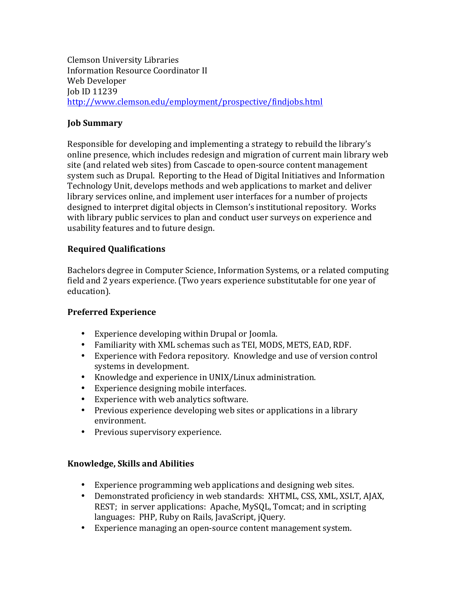Clemson University Libraries **Information Resource Coordinator II** Web Developer Job ID 11239 http://www.clemson.edu/employment/prospective/findjobs.html

## **Job Summary**

Responsible for developing and implementing a strategy to rebuild the library's online presence, which includes redesign and migration of current main library web site (and related web sites) from Cascade to open-source content management system such as Drupal. Reporting to the Head of Digital Initiatives and Information Technology Unit, develops methods and web applications to market and deliver library services online, and implement user interfaces for a number of projects designed to interpret digital objects in Clemson's institutional repository. Works with library public services to plan and conduct user surveys on experience and usability features and to future design.

## **Required Qualifications**

Bachelors degree in Computer Science, Information Systems, or a related computing field and 2 years experience. (Two years experience substitutable for one year of education). 

## **Preferred Experience**

- Experience developing within Drupal or Joomla.
- Familiarity with XML schemas such as TEI, MODS, METS, EAD, RDF.
- Experience with Fedora repository. Knowledge and use of version control systems in development.
- Knowledge and experience in UNIX/Linux administration.
- Experience designing mobile interfaces.
- Experience with web analytics software.
- Previous experience developing web sites or applications in a library environment.
- Previous supervisory experience.

## **Knowledge, Skills and Abilities**

- Experience programming web applications and designing web sites.
- Demonstrated proficiency in web standards: XHTML, CSS, XML, XSLT, AJAX, REST; in server applications: Apache, MySQL, Tomcat; and in scripting languages: PHP, Ruby on Rails, JavaScript, jQuery.
- Experience managing an open-source content management system.